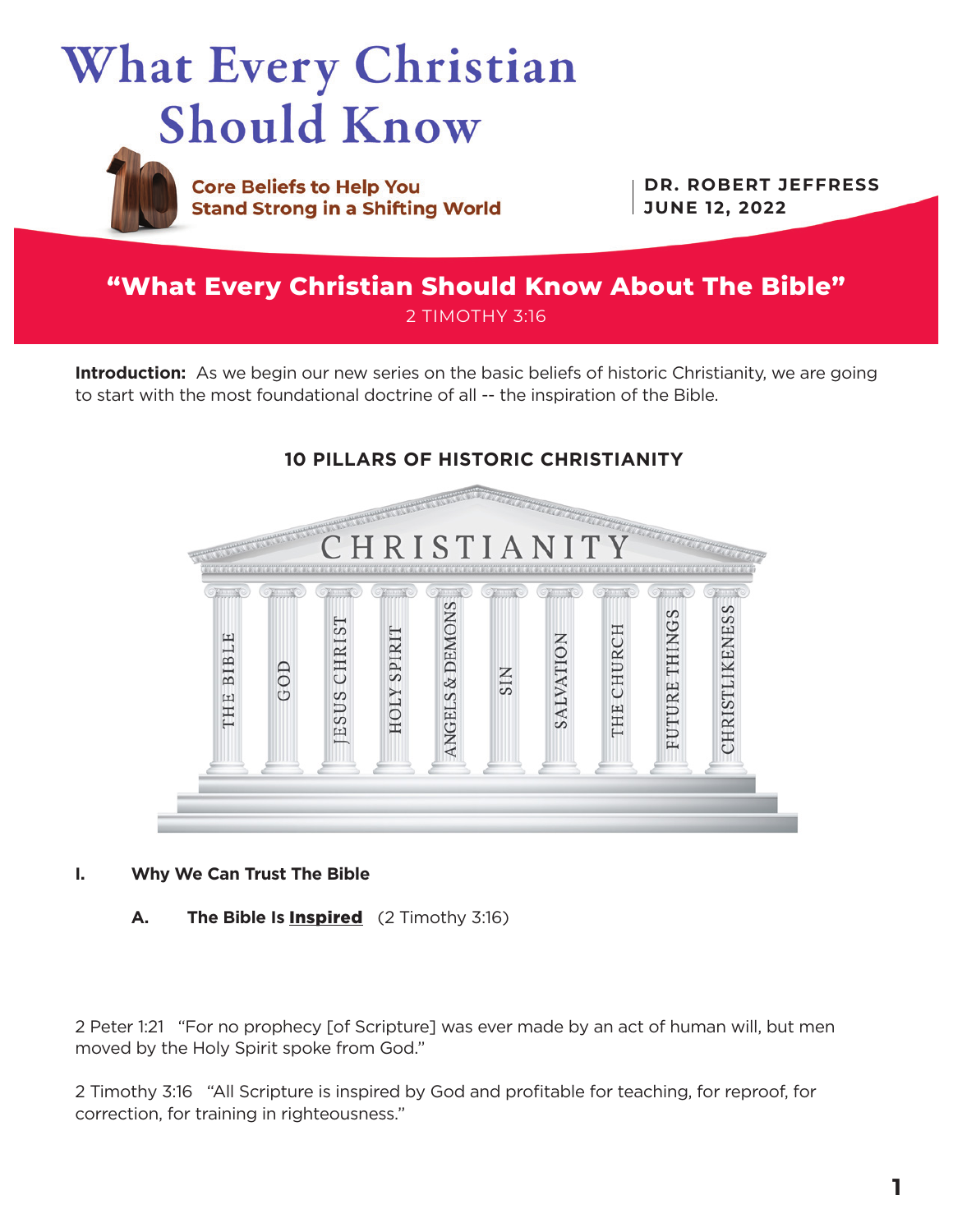



**Core Beliefs to Help You Stand Strong in a Shifting World** 

**DR. ROBERT JEFFRESS JUNE 12, 2022**

# **"What Every Christian Should Know About The Bible"** 2 TIMOTHY 3:16

**Introduction:** As we begin our new series on the basic beliefs of historic Christianity, we are going to start with the most foundational doctrine of all -- the inspiration of the Bible.



## **I. Why We Can Trust The Bible**

**A. The Bible Is** Inspired (2 Timothy 3:16)

2 Peter 1:21 "For no prophecy [of Scripture] was ever made by an act of human will, but men moved by the Holy Spirit spoke from God."

2 Timothy 3:16 "All Scripture is inspired by God and profitable for teaching, for reproof, for correction, for training in righteousness."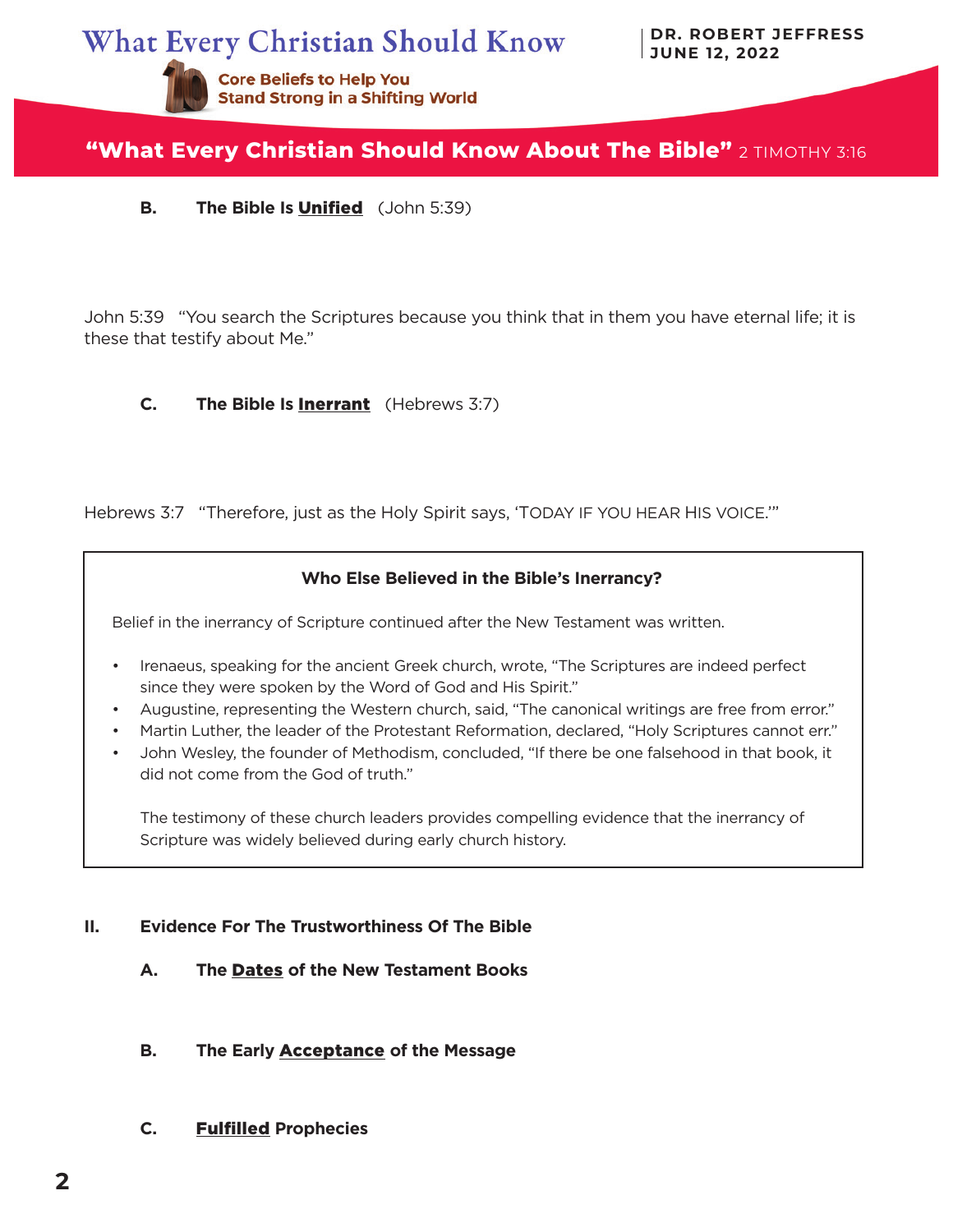**What Every Christian Should Know** 

**DR. ROBERT JEFFRESS JUNE 12, 2022**



# **"What Every Christian Should Know About The Bible"** 2 TIMOTHY 3:16

**B. The Bible Is** Unified (John 5:39)

John 5:39 "You search the Scriptures because you think that in them you have eternal life; it is these that testify about Me."

### **C. The Bible Is** Inerrant (Hebrews 3:7)

Hebrews 3:7 "Therefore, just as the Holy Spirit says, 'TODAY IF YOU HEAR HIS VOICE.'"

# **Who Else Believed in the Bible's Inerrancy?**

Belief in the inerrancy of Scripture continued after the New Testament was written.

- Irenaeus, speaking for the ancient Greek church, wrote, "The Scriptures are indeed perfect since they were spoken by the Word of God and His Spirit."
- Augustine, representing the Western church, said, "The canonical writings are free from error."
- Martin Luther, the leader of the Protestant Reformation, declared, "Holy Scriptures cannot err."
- John Wesley, the founder of Methodism, concluded, "If there be one falsehood in that book, it did not come from the God of truth."

The testimony of these church leaders provides compelling evidence that the inerrancy of Scripture was widely believed during early church history.

## **II. Evidence For The Trustworthiness Of The Bible**

- **A. The** Dates **of the New Testament Books**
- **B. The Early** Acceptance **of the Message**
- **C.** Fulfilled **Prophecies**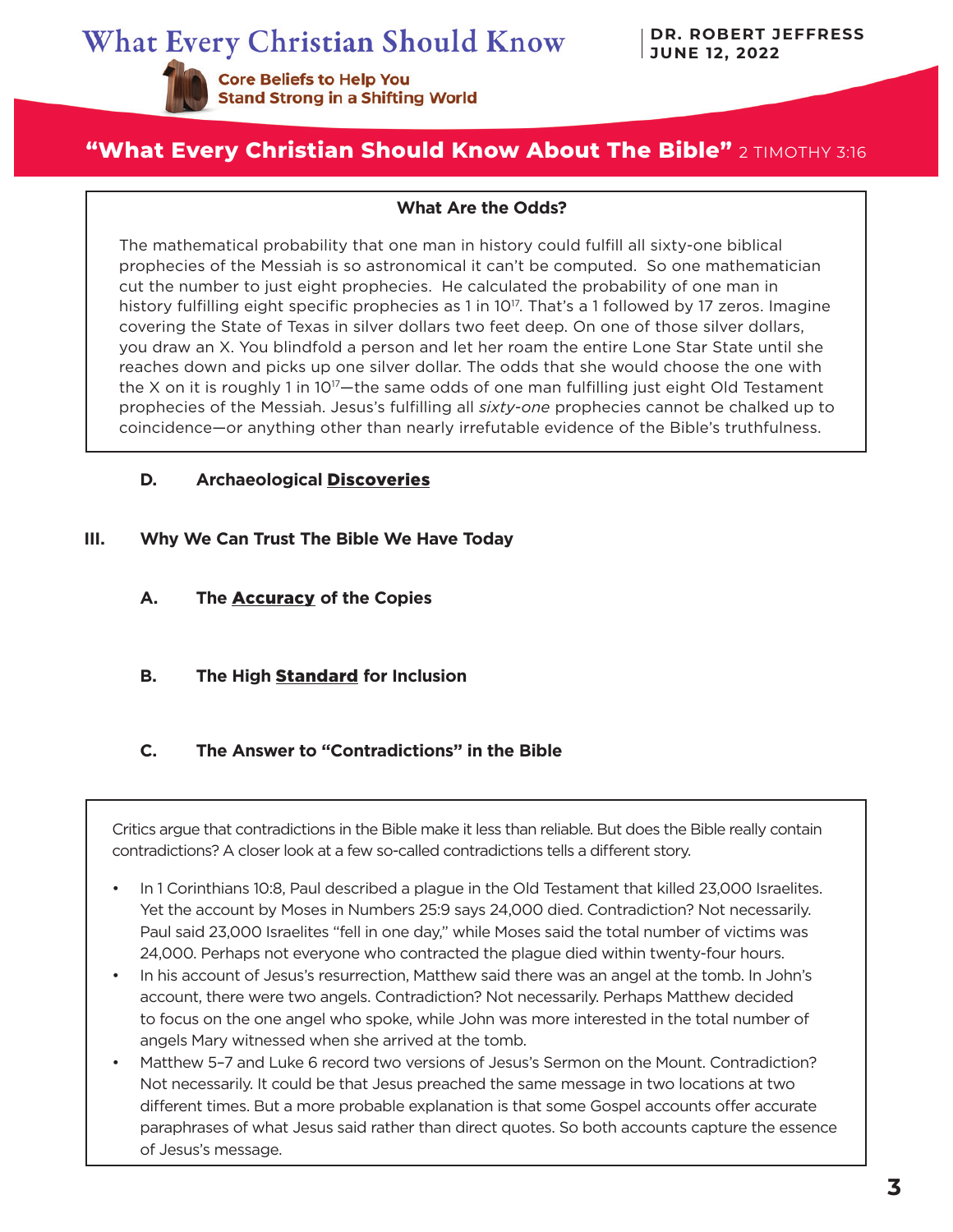**Core Beliefs to Help You** 

**Stand Strong in a Shifting World** 

# **"What Every Christian Should Know About The Bible"** 2 TIMOTHY 3:16

#### **What Are the Odds?**

The mathematical probability that one man in history could fulfill all sixty-one biblical prophecies of the Messiah is so astronomical it can't be computed. So one mathematician cut the number to just eight prophecies. He calculated the probability of one man in history fulfilling eight specific prophecies as 1 in 10<sup>17</sup>. That's a 1 followed by 17 zeros. Imagine covering the State of Texas in silver dollars two feet deep. On one of those silver dollars, you draw an X. You blindfold a person and let her roam the entire Lone Star State until she reaches down and picks up one silver dollar. The odds that she would choose the one with the X on it is roughly 1 in  $10^{17}$ —the same odds of one man fulfilling just eight Old Testament prophecies of the Messiah. Jesus's fulfilling all *sixty-one* prophecies cannot be chalked up to coincidence—or anything other than nearly irrefutable evidence of the Bible's truthfulness.

**D.** Archaeological **Discoveries** 

### **III. Why We Can Trust The Bible We Have Today**

- **A. The** Accuracy **of the Copies**
- **B. The High** Standard **for Inclusion**

### **C. The Answer to "Contradictions" in the Bible**

Critics argue that contradictions in the Bible make it less than reliable. But does the Bible really contain contradictions? A closer look at a few so-called contradictions tells a different story.

- In 1 Corinthians 10:8, Paul described a plague in the Old Testament that killed 23,000 Israelites. Yet the account by Moses in Numbers 25:9 says 24,000 died. Contradiction? Not necessarily. Paul said 23,000 Israelites "fell in one day," while Moses said the total number of victims was 24,000. Perhaps not everyone who contracted the plague died within twenty-four hours.
- In his account of Jesus's resurrection, Matthew said there was an angel at the tomb. In John's account, there were two angels. Contradiction? Not necessarily. Perhaps Matthew decided to focus on the one angel who spoke, while John was more interested in the total number of angels Mary witnessed when she arrived at the tomb.
- Matthew 5–7 and Luke 6 record two versions of Jesus's Sermon on the Mount. Contradiction? Not necessarily. It could be that Jesus preached the same message in two locations at two different times. But a more probable explanation is that some Gospel accounts offer accurate paraphrases of what Jesus said rather than direct quotes. So both accounts capture the essence of Jesus's message.